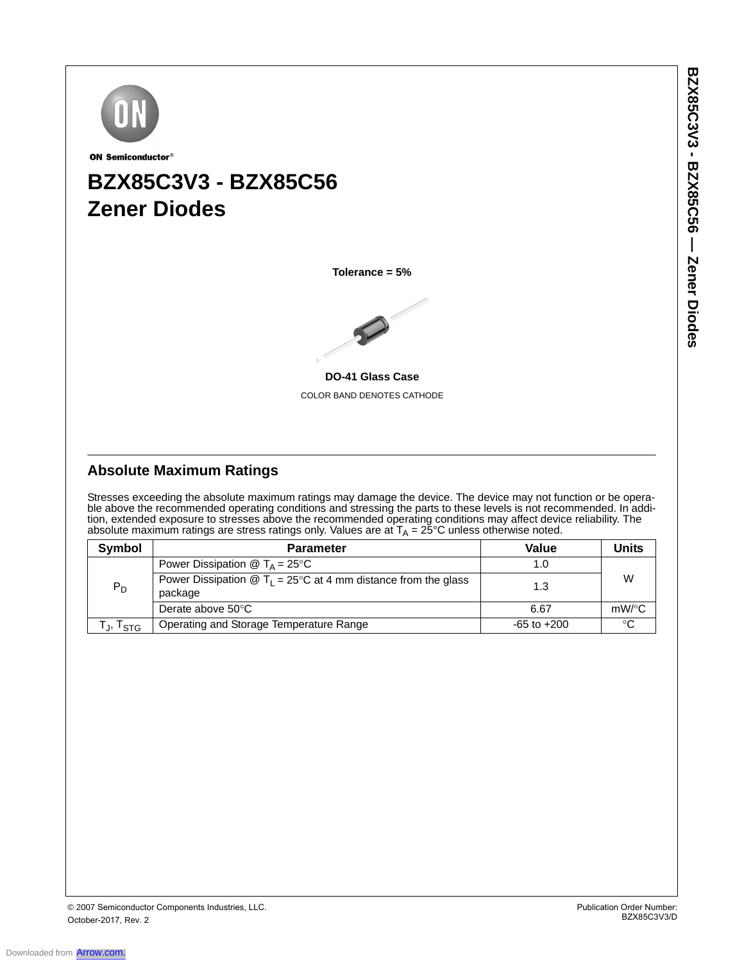

ON Semiconductor®

# **BZX85C3V3 - BZX85C56 Zener Diodes**

**Tolerance = 5%**



**DO-41 Glass Case** COLOR BAND DENOTES CATHODE

## **Absolute Maximum Ratings**

Stresses exceeding the absolute maximum ratings may damage the device. The device may not function or be operable above the recommended operating conditions and stressing the parts to these levels is not recommended. In addition, extended exposure to stresses above the recommended operating conditions may affect device reliability. The absolute maximum ratings are stress ratings only. Values are at  $\mathsf{T}_\mathsf{A}$  = 25°C unless otherwise noted.

| Symbol               | <b>Parameter</b>                                                                                            | Value           | <b>Units</b> |  |
|----------------------|-------------------------------------------------------------------------------------------------------------|-----------------|--------------|--|
|                      | Power Dissipation $\circledR$ T <sub>A</sub> = 25 <sup>°</sup> C                                            | 1.0             |              |  |
| $P_D$                | Power Dissipation $\circledR$ T <sub>1</sub> = 25 <sup>o</sup> C at 4 mm distance from the glass<br>package | 1.3             | W            |  |
|                      | Derate above $50^{\circ}$ C                                                                                 | 6.67            | $mW$ /°C     |  |
| Tյ, T <sub>STG</sub> | Operating and Storage Temperature Range                                                                     | $-65$ to $+200$ | $\circ$      |  |

Downloaded from **[Arrow.com.](http://www.arrow.com)**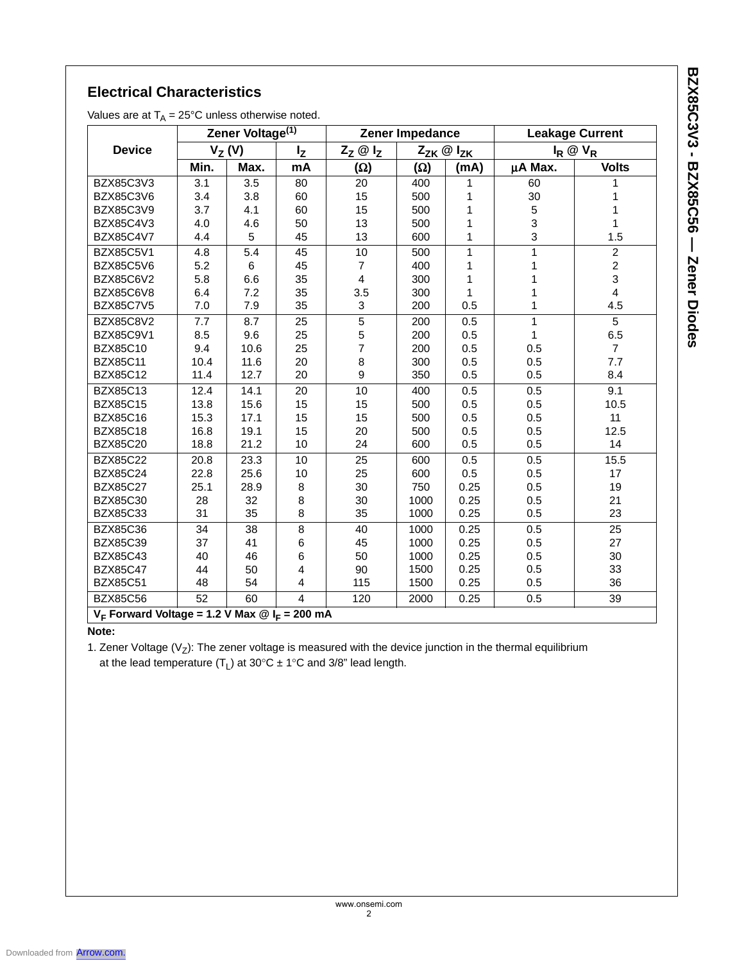BZX85C3V3 - BZX85C56 — Zener Diodes **BZX85C3V3 - BZX85C56 — Zener Diodes**

# **Electrical Characteristics**

Values are at  $T_A = 25$ °C unless otherwise noted.

|                                                                | Zener Voltage <sup>(1)</sup> |      | Zener Impedance         |                   |                         | <b>Leakage Current</b> |                   |                |
|----------------------------------------------------------------|------------------------------|------|-------------------------|-------------------|-------------------------|------------------------|-------------------|----------------|
| <b>Device</b>                                                  | $V_Z(V)$                     |      | $I_{Z}$                 | $Z_Z \otimes I_Z$ | $Z_{ZK} \otimes I_{ZK}$ |                        | $I_R \otimes V_R$ |                |
|                                                                | Min.                         | Max. | mA                      | <b>(Ω)</b>        | $(\Omega)$              | (mA)                   | µA Max.           | <b>Volts</b>   |
| BZX85C3V3                                                      | 3.1                          | 3.5  | 80                      | 20                | 400                     | 1                      | 60                | 1              |
| BZX85C3V6                                                      | 3.4                          | 3.8  | 60                      | 15                | 500                     | 1                      | 30                | 1              |
| BZX85C3V9                                                      | 3.7                          | 4.1  | 60                      | 15                | 500                     | 1                      | 5                 | 1              |
| BZX85C4V3                                                      | 4.0                          | 4.6  | 50                      | 13                | 500                     | 1                      | 3                 | $\mathbf{1}$   |
| BZX85C4V7                                                      | 4.4                          | 5    | 45                      | 13                | 600                     | 1                      | 3                 | 1.5            |
| <b>BZX85C5V1</b>                                               | 4.8                          | 5.4  | 45                      | 10                | 500                     | $\mathbf{1}$           | 1                 | $\overline{c}$ |
| <b>BZX85C5V6</b>                                               | 5.2                          | 6    | 45                      | 7                 | 400                     | $\mathbf{1}$           | 1                 | $\overline{2}$ |
| BZX85C6V2                                                      | 5.8                          | 6.6  | 35                      | 4                 | 300                     | 1                      | 1                 | 3              |
| <b>BZX85C6V8</b>                                               | 6.4                          | 7.2  | 35                      | 3.5               | 300                     | $\mathbf{1}$           | 1                 | $\overline{4}$ |
| <b>BZX85C7V5</b>                                               | 7.0                          | 7.9  | 35                      | 3                 | 200                     | 0.5                    | 1                 | 4.5            |
| BZX85C8V2                                                      | 7.7                          | 8.7  | 25                      | 5                 | 200                     | 0.5                    | $\mathbf{1}$      | 5              |
| BZX85C9V1                                                      | 8.5                          | 9.6  | 25                      | 5                 | 200                     | 0.5                    | 1                 | 6.5            |
| <b>BZX85C10</b>                                                | 9.4                          | 10.6 | 25                      | $\overline{7}$    | 200                     | 0.5                    | 0.5               | $\overline{7}$ |
| <b>BZX85C11</b>                                                | 10.4                         | 11.6 | 20                      | 8                 | 300                     | 0.5                    | 0.5               | 7.7            |
| BZX85C12                                                       | 11.4                         | 12.7 | 20                      | 9                 | 350                     | 0.5                    | 0.5               | 8.4            |
| BZX85C13                                                       | 12.4                         | 14.1 | 20                      | 10                | 400                     | 0.5                    | 0.5               | 9.1            |
| <b>BZX85C15</b>                                                | 13.8                         | 15.6 | 15                      | 15                | 500                     | 0.5                    | 0.5               | 10.5           |
| <b>BZX85C16</b>                                                | 15.3                         | 17.1 | 15                      | 15                | 500                     | 0.5                    | 0.5               | 11             |
| <b>BZX85C18</b>                                                | 16.8                         | 19.1 | 15                      | 20                | 500                     | 0.5                    | 0.5               | 12.5           |
| <b>BZX85C20</b>                                                | 18.8                         | 21.2 | 10                      | 24                | 600                     | 0.5                    | 0.5               | 14             |
| <b>BZX85C22</b>                                                | 20.8                         | 23.3 | 10                      | 25                | 600                     | 0.5                    | 0.5               | 15.5           |
| <b>BZX85C24</b>                                                | 22.8                         | 25.6 | 10                      | 25                | 600                     | 0.5                    | 0.5               | 17             |
| <b>BZX85C27</b>                                                | 25.1                         | 28.9 | 8                       | 30                | 750                     | 0.25                   | 0.5               | 19             |
| <b>BZX85C30</b>                                                | 28                           | 32   | 8                       | 30                | 1000                    | 0.25                   | 0.5               | 21             |
| BZX85C33                                                       | 31                           | 35   | 8                       | 35                | 1000                    | 0.25                   | 0.5               | 23             |
| <b>BZX85C36</b>                                                | 34                           | 38   | 8                       | 40                | 1000                    | 0.25                   | 0.5               | 25             |
| <b>BZX85C39</b>                                                | 37                           | 41   | 6                       | 45                | 1000                    | 0.25                   | 0.5               | 27             |
| <b>BZX85C43</b>                                                | 40                           | 46   | 6                       | 50                | 1000                    | 0.25                   | 0.5               | 30             |
| <b>BZX85C47</b>                                                | 44                           | 50   | 4                       | 90                | 1500                    | 0.25                   | 0.5               | 33             |
| <b>BZX85C51</b>                                                | 48                           | 54   | $\overline{\mathbf{4}}$ | 115               | 1500                    | 0.25                   | 0.5               | 36             |
| <b>BZX85C56</b>                                                | 52                           | 60   | $\overline{\mathbf{4}}$ | 120               | 2000                    | 0.25                   | 0.5               | 39             |
| $V_F$ Forward Voltage = 1.2 V Max $\textcircled{1}_F$ = 200 mA |                              |      |                         |                   |                         |                        |                   |                |

### **Note:**

1. Zener Voltage ( $V_Z$ ): The zener voltage is measured with the device junction in the thermal equilibrium at the lead temperature  $(T_L)$  at 30°C  $\pm$  1°C and 3/8" lead length.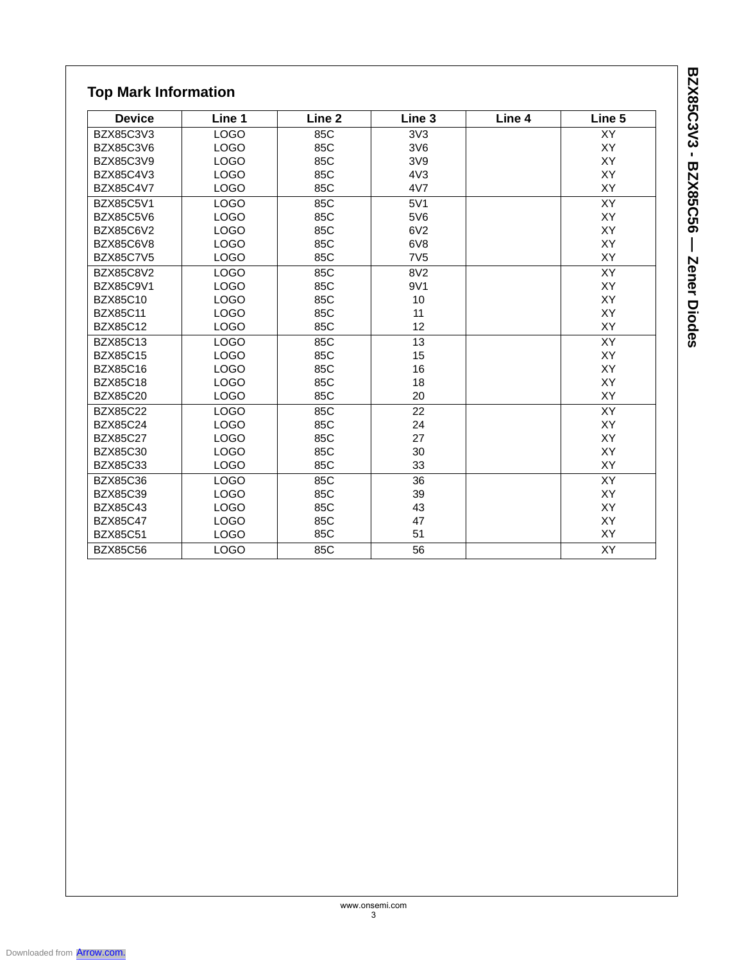| <b>Top Mark Information</b> |             |                   |                   |        |           |  |  |
|-----------------------------|-------------|-------------------|-------------------|--------|-----------|--|--|
| <b>Device</b>               | Line 1      | Line <sub>2</sub> | Line <sub>3</sub> | Line 4 | Line 5    |  |  |
| BZX85C3V3                   | <b>LOGO</b> | 85C               | 3V3               |        | XY        |  |  |
| <b>BZX85C3V6</b>            | <b>LOGO</b> | 85C               | 3V6               |        | XY        |  |  |
| BZX85C3V9                   | <b>LOGO</b> | 85C               | 3V9               |        | XY        |  |  |
| BZX85C4V3                   | <b>LOGO</b> | 85C               | 4V3               |        | XY        |  |  |
| <b>BZX85C4V7</b>            | <b>LOGO</b> | 85C               | 4V7               |        | XY        |  |  |
| BZX85C5V1                   | <b>LOGO</b> | 85C               | 5V1               |        | <b>XY</b> |  |  |
| <b>BZX85C5V6</b>            | <b>LOGO</b> | 85C               | 5V6               |        | XY        |  |  |
| <b>BZX85C6V2</b>            | <b>LOGO</b> | 85C               | 6V2               |        | XY        |  |  |
| <b>BZX85C6V8</b>            | <b>LOGO</b> | 85C               | 6V8               |        | <b>XY</b> |  |  |
| <b>BZX85C7V5</b>            | <b>LOGO</b> | 85C               | 7V <sub>5</sub>   |        | XY        |  |  |
| <b>BZX85C8V2</b>            | <b>LOGO</b> | 85C               | 8V <sub>2</sub>   |        | XY        |  |  |
| BZX85C9V1                   | <b>LOGO</b> | 85C               | 9V1               |        | XY        |  |  |
| BZX85C10                    | <b>LOGO</b> | 85C               | 10                |        | XY        |  |  |
| <b>BZX85C11</b>             | <b>LOGO</b> | 85C               | 11                |        | XY        |  |  |
| <b>BZX85C12</b>             | <b>LOGO</b> | 85C               | 12                |        | <b>XY</b> |  |  |
| BZX85C13                    | <b>LOGO</b> | 85C               | 13                |        | XY        |  |  |
| <b>BZX85C15</b>             | <b>LOGO</b> | 85C               | 15                |        | XY        |  |  |
| <b>BZX85C16</b>             | <b>LOGO</b> | 85C               | 16                |        | XY        |  |  |
| <b>BZX85C18</b>             | <b>LOGO</b> | 85C               | 18                |        | XY        |  |  |
| <b>BZX85C20</b>             | <b>LOGO</b> | 85C               | 20                |        | XY        |  |  |
| <b>BZX85C22</b>             | <b>LOGO</b> | 85C               | 22                |        | XY        |  |  |
| <b>BZX85C24</b>             | <b>LOGO</b> | 85C               | 24                |        | <b>XY</b> |  |  |
| <b>BZX85C27</b>             | <b>LOGO</b> | 85C               | 27                |        | XY        |  |  |
| <b>BZX85C30</b>             | <b>LOGO</b> | 85C               | 30                |        | XY        |  |  |
| <b>BZX85C33</b>             | <b>LOGO</b> | 85C               | 33                |        | XY        |  |  |
| <b>BZX85C36</b>             | <b>LOGO</b> | 85C               | 36                |        | XY        |  |  |
| <b>BZX85C39</b>             | <b>LOGO</b> | 85C               | 39                |        | XY        |  |  |
| <b>BZX85C43</b>             | <b>LOGO</b> | 85C               | 43                |        | XY        |  |  |
| <b>BZX85C47</b>             | <b>LOGO</b> | 85C               | 47                |        | <b>XY</b> |  |  |
| <b>BZX85C51</b>             | <b>LOGO</b> | 85C               | 51                |        | XY        |  |  |
| <b>BZX85C56</b>             | <b>LOGO</b> | 85C               | 56                |        | XY        |  |  |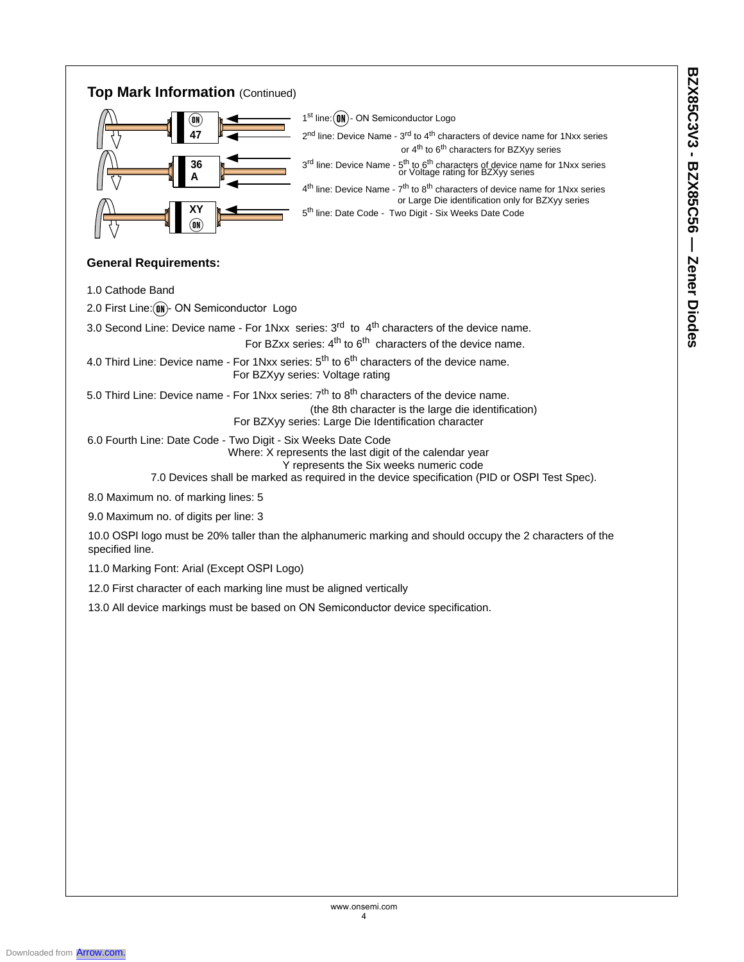## **Top Mark Information** (Continued)



#### **General Requirements:**

1.0 Cathode Band

- 2.0 First Line: (ON)- ON Semiconductor Logo
- 3.0 Second Line: Device name For 1Nxx series:  $3<sup>rd</sup>$  to  $4<sup>th</sup>$  characters of the device name.

For BZxx series: 4<sup>th</sup> to 6<sup>th</sup> characters of the device name.

- 4.0 Third Line: Device name For 1Nxx series: 5<sup>th</sup> to 6<sup>th</sup> characters of the device name. For BZXyy series: Voltage rating
- 5.0 Third Line: Device name For 1Nxx series: 7<sup>th</sup> to 8<sup>th</sup> characters of the device name.
	- (the 8th character is the large die identification)
		- For BZXyy series: Large Die Identification character

6.0 Fourth Line: Date Code - Two Digit - Six Weeks Date Code Where: X represents the last digit of the calendar year Y represents the Six weeks numeric code

7.0 Devices shall be marked as required in the device specification (PID or OSPI Test Spec).

8.0 Maximum no. of marking lines: 5

9.0 Maximum no. of digits per line: 3

10.0 OSPI logo must be 20% taller than the alphanumeric marking and should occupy the 2 characters of the specified line.

11.0 Marking Font: Arial (Except OSPI Logo)

12.0 First character of each marking line must be aligned vertically

13.0 All device markings must be based on ON Semiconductor device specification.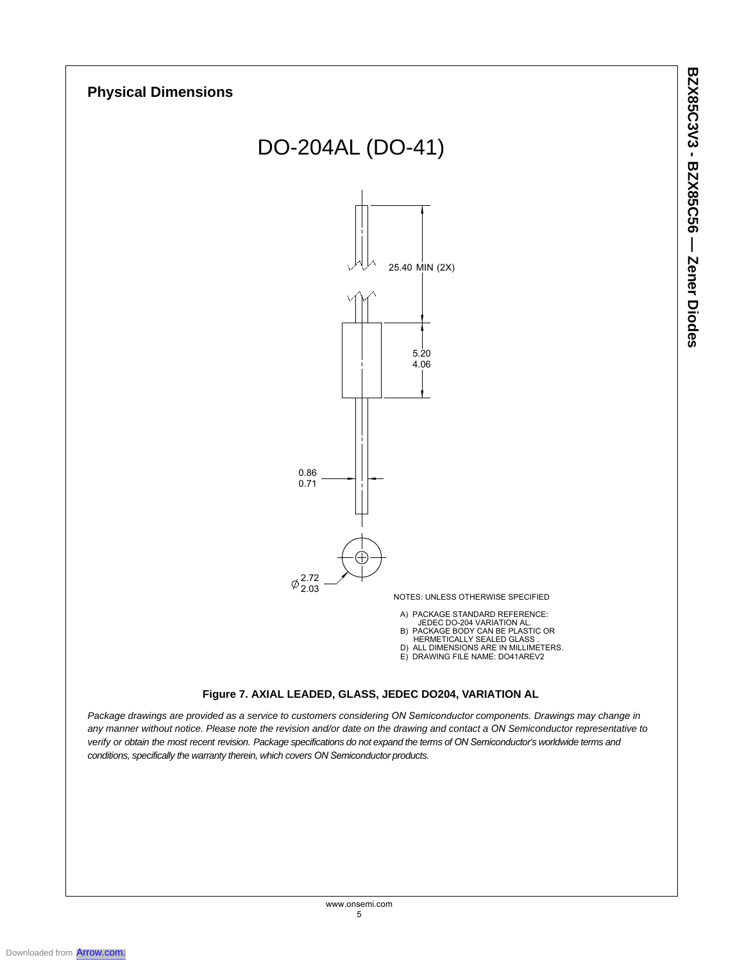